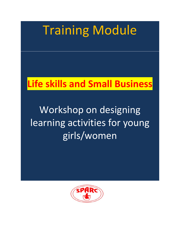# Training Module

# **Life skills and Small Business**

Workshop on designing learning activities for young girls/women

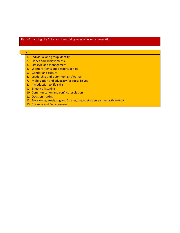#### Part- Enhancing Life Skills and Identifying ways of income generation

# **Topics**

- 1. Individual and group identity
- 2. Hopes and achievements
- 3. Lifestyle and management
- 4. Women; Rights and responsibilities
- 5. Gender and culture
- 6. Leadership and a common girl/woman
- 7. Mobilization and advocacy for social issues
- 8. Introduction to life skills
- 9. Effective listening
- 10. Communication and conflict resolution
- 11. Decision making
- 12. Envisioning, Analyzing and Strategizing to start an earning activity/task
- 13. Business and Entrepreneur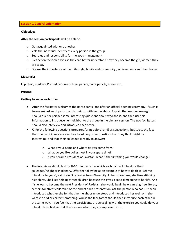#### **Session-1 General Orientation**

#### **Objectives**

#### **After the session participants will be able to**

- o Get acquainted with one another
- o Vale the individual identity of every person in the group
- o Set rules and responsibility for the good management
- $\circ$  Reflect on their own lives so they can better understand how they became the girl/women they are today
- o Discuss the importance of their life style, family and community , achievements and their hopes

#### **Materials:**

Flip chart, markers, Printed pictures of tree, papers, color pencils, eraser etc..

#### **Process:**

#### **Getting to know each other**

- After the facilitator welcomes the participants (and after an official opening ceremony, if such is foreseen), ask each participant to pair up with her neighbor. Explain that each woman/girl should ask her partner some interesting questions about who she is, and then use this information to introduce her neighbor to the group in the plenary session. The two facilitators should also interview and introduce each other.
- Offer the following questions (prepared/print beforehand) as suggestions, but stress the fact that the participants are also free to ask any other questions that they think might be interesting, and that their colleague is ready to answer:
	- o What is your name and where do you come from?
	- o What do you like doing most in your spare time?
	- o If you became President of Pakistan, what is the first thing you would change?
- The interviews should last for 8-10 minutes, after which each pair will introduce their colleague/neighbor in plenary. Offer the following as an example of how to do this: "Let me introduce to you Qurat ul ain. She comes from Khaur city. In her spare time, she likes stitching nice shirts. She likes helping street children because this gives a special meaning to her life. And if she was to become the next President of Pakistan, she would begin by organizing free literacy centers for street children." At the end of each presentation, ask the person who has just been introduced whether she felt that her neighbor understood and introduced her well, or if she wants to add or correct something. You as the facilitators should then introduce each other in the same way. If you feel that the participants are struggling with the exercise you could do your introductions first so that they can see what they are supposed to do.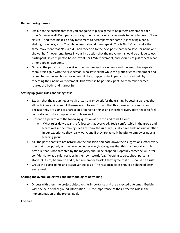#### **Remembering names**

- Explain to the participants that you are going to play a game to help them remember each other's names well. Each participant says the name by which she wants to be called  $-$  e.g. "I am Nasira" - and then makes a body movement to accompany her name (e.g. waving a hand, shaking shoulders, etc.). The whole group should then repeat "This is Nasira" and make the same movement that Nasira did. Then move on to the next participant who says her name and shows "her" movement. Stress in your instruction that the movement should be unique to each participant, so each person has to invent her OWN movement, and should not just repeat what other people have done.
- Once all the participants have given their names and movements and the group has repeated them, start again with the first person, who stays silent while the group tries to remember and repeat her name and body movement. If the group gets stuck, participants can help by repeating their name or movement. This exercise helps participants to remember names, relaxes the body, and is great fun!

#### **Setting up group rules and fixing tasks**

- Explain that the group needs to give itself a framework for the training by setting up rules that all participants will commit themselves to follow. Explain that this framework is important because they are going to share a lot of personal things and therefore everybody needs to feel comfortable in the group in order to learn well
- Present a flipchart with the following question at the top and read it aloud:
	- o What rules do we want to follow so that everybody feels comfortable in the group and learns well in the training? Let's re-think the rules we usually have and find out whether in our experience they really work, and if they are actually helpful to empower us as a learning group
- Ask the participants to brainstorm on the question and note down their suggestions. After every rule that is proposed, ask the group whether everybody agrees that this is an important rule. Any rule that is not accepted by the majority should be dropped. Hopefully someone will offer confidentiality as a rule, perhaps in their own words (e.g. "keeping secrets about personal stories"). If not, be sure to add it, but remember to ask if they agree that this should be a rule.
- Group the participants and assign various tasks. The responsibilities should be changed after every week

#### **Sharing the overall objectives and methodologies of training**

 Discuss with them the project objectives, its importance and the expected outcomes. Explain with the help of background information 1.1, the importance of their effective role in the implementation of the project goals

#### **Life tree**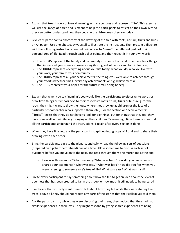- Explain that trees have a universal meaning in many cultures and represent "life". This exercise will use the image of a tree and is meant to help the participants to reflect on their own lives so they can better understand how they became the girl/women they are today
- Give each participant a photocopy of the drawing of the tree with roots, a trunk, fruits and buds on A4 paper. Use one photocopy yourself to illustrate the instructions. Then present a flipchart with the following instructions (see below) on how to "name" the different parts of their personal tree of life. Read through each bullet point, and then repeat it in your own words
	- $\circ$  The ROOTS represent the family and community you come from and other people or things that influenced you when you were young (both good influences and bad influences)
	- $\circ$  The TRUNK represents everything about your life today: what you do, who you live with: your work, your family, your community.
	- o The FRUITS represent all your achievements: the things you were able to achieve through your efforts (whether small, every-day achievements or big achievements)
	- o The BUDS represent your hopes for the future (small or big hopes)
- Explain that when you say "naming", you would like the participants to either write words or draw little things or symbols next to their respective roots, trunk, fruits or buds (e.g. for the roots, they might want to draw the house where they grew up as children or the face of a particular school teacher who supported them, etc.). For the section on "achievements" ("fruits"), stress that they do not have to look for big things, but for things that they feel they have done well in their life, e.g. bringing up their children. Take enough time to make sure that all the participants understand the instructions. Explain after every section is done
- When they have finished, ask the participants to split up into groups of 3 or 4 and to share their drawings with each other
- Bring the participants back to the plenary, and calmly read the following sets of questions (prepared on flipchart beforehand) one at a time. Allow some time to discuss each set of questions before you move on to the next, and read through them one more time at the end
	- $\circ$  How was this exercise? What was easy? What was hard? How did you feel when you shared your experience? What was easy? What was hard? How did you feel when you were listening to someone else's tree of life? What was easy? What was hard?
- Invite every participant to say something about how she felt to get an idea about the level of openness that has been created so far in the group, or how much it still needs to be nurtured
- Emphasize that you only want them to talk about how they felt while they were sharing their trees; above all, they should not repeat any parts of the stories that their colleagues told them
- Ask the participants if, while they were discussing their trees, they noticed that they had had similar experiences in their lives. They might respond by giving shared experiences of being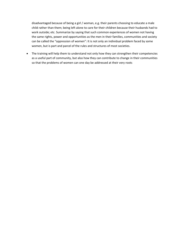disadvantaged because of being a girl / woman, e.g. their parents choosing to educate a male child rather than them; being left alone to care for their children because their husbands had to work outside; etc. Summarize by saying that such common experiences of women not having the same rights, power and opportunities as the men in their families, communities and society can be called the "oppression of women": It is not only an individual problem faced by some women, but is part and parcel of the rules and structures of most societies.

• The training will help them to understand not only how they can strengthen their competencies as a useful part of community, but also how they can contribute to change in their communities so that the problems of women can one day be addressed at their very roots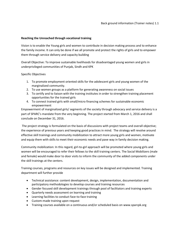# **Reaching the Unreached through vocational training**

Vision is to enable the Young girls and women to contribute in decision making process and to enhance the family income. It can only be done if we all promote and protect the rights of girls and to empower them through service delivery and capacity building

Overall Objective: To improve sustainable livelihoods for disadvantaged young women and girls in underprivileged communities of Punjab, Sindh and KPK

#### Specific Objectives

- 1. To promote employment oriented skills for the adolescent girls and young women of the marginalized community.
- 2. To use women groups as a platform for generating awareness on social issues
- 3. To certify and to liaison with the training institutes in order to strengthen training placement opportunities for the trained girls
- 4. To connect trained girls with small/micro financing schemes for sustainable economic empowerment

Empowerment of marginalized girls/ segments of the society through advocacy and service delivery is a part of SPARC's mandate from the very beginning. The project started from March 1, 2016 and shall conclude on December 31, 2016.

The project strategy is formulated on the basis of discussions with project teams and overall objective; the experience of previous years and keeping good practices in mind. The strategy will revolve around effective skill trainings and community mobilization to attract more young girls and women, motivate and equip them with skills to meet their economic needs and pave way in family decision making.

Community mobilization: In this regard, girl-to-girl approach will be promoted where young girls and women will be encouraged to refer their fellows to the skill training centers. The Social Mobilizers (male and female) would make door to door visits to inform the community of the added components under the skill trainings at the centers.

Training courses, programs and resources on key issues will be designed and implemented. Training department will further provide

- Technical assistance: content development, design, implementation, documentation and participatory methodologies to develop courses and training resources
- Gender focused skill development trainings through pool of facilitators and training experts
- Quarterly needs assessment on learning and training
- Learning facilities to conduct face-to-face training
- Custom-made training upon request
- Training courses available on a continuous and/or scheduled basis on www.sparcpk.org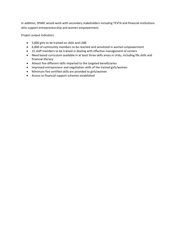In addition, SPARC would work with secondary stakeholders including TEVTA and financial institutions who support entrepreneurship and women empowerment.

Project output indicators

- 5,000 girls to be trained on skills and LSBE
- 6,000 of community members to be reached and sensitized in women empowerment
- 15 staff members to be trained in dealing with effective management of centers
- Need based curriculum available in at least three skills areas in Urdu, including life skills and financial literacy
- Atleast five different skills imparted to the targeted beneficiaries
- Improved entrepreneur and negotiation skills of the trained girls/women
- Minimum five certified skills are provided to girls/women
- Access to financial support schemes established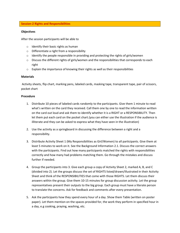**Session-2 Rights and Responsibilities** 

#### **Objectives**

After the session participants will be able to

- o Identify their basic rights as human
- o Differentiate a right from a responsibility
- $\circ$  Identify the people responsible in providing and protecting the rights of girls/women
- $\circ$  Discuss the different rights of girls/women and the responsibilities that corresponds to each right
- o Explain the importance of knowing their rights as well as their responsibilities

#### **Materials**

Activity sheets, flip chart, marking pens, labeled cards, masking tape, transparent tape, pair of scissors, pocket chart

#### **Procedure**

- 1. Distribute 10 pieces of labeled cards randomly to the participants. Give them 1 minute to read what's written on the card they received. Call them one by one to read the information written on the card out loud and ask them to identify whether it is a RIGHT or a RESPONSIBILITY. Then let them put each card on the pocket chart.(you can either use the illustration if the audience is illiterate and they can be asked to express what they have seen in the illustration)
- 2. Use the activity as a springboard in discussing the difference between a right and a responsibility.
- 3. Distribute Activity Sheet 1 (My Responsibilities as Girl/Women) to all participants. Give them at least 5 minutes to work on it. See the Background Information 2.1. Discuss the correct answers with the participants. Find out how many participants matched the rights with responsibilities correctly and how many had problems matching them. Go through the mistakes and discuss further if needed.
- 4. Group the participants into 3. Give each group a copy of Activity Sheet 2, marked A, B, and C (divided into 2). Let the groups discuss the set of RIGHTS listed/drawn/illustrated in their Activity Sheet and think of the RESPONSIBILITIES that come with those RIGHTS. Let them discuss their answers within the group. Give them 10-15 minutes for group discussion activity. Let the group representatives present their outputs to the big group. Each group must have a literate person to translate the concerns. Ask for feedback and comments after every presentation.
- 5. Ask the participants how they spend every hour of a day. Show them Table (written on poster paper). Let them mention on the spaces provided for, the work they perform in specified hour in a day, e.g cooking, praying, washing, etc.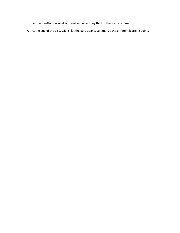- 6. Let them reflect on what is useful and what they think is the waste of time.
- 7. At the end of the discussions, let the participants summarize the different learning points.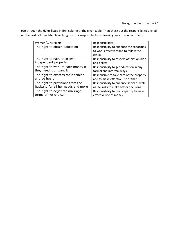# Background information 2.1

(Go through the rights listed in first column of the given table. Then check out the responsibilities listed on the next column. Match each right with a responsibility by drawing lines to connect them)

| <b>Women/Girls Rights</b>          | Responsibilities                          |  |  |
|------------------------------------|-------------------------------------------|--|--|
| The right to obtain education      | Responsibility to enhance the capacities  |  |  |
|                                    | to work effectively and to follow the     |  |  |
|                                    | ethics                                    |  |  |
| The right to have their own        | Responsibility to respect other's opinion |  |  |
| independent property               | and beliefs                               |  |  |
| The right to work to earn money if | Responsibility to get education in any    |  |  |
| they need it or want it            | formal and informal ways                  |  |  |
| The right to express their opinion | Responsible to take care of the property  |  |  |
| and be heard                       | and to make effective use of that         |  |  |
| The right to provisions from the   | Responsibility to enhance social as well  |  |  |
| husband for all her needs and more | as life skills to make better decisions   |  |  |
| The right to negotiate marriage    | Responsibility to built capacity to make  |  |  |
| terms of her choice                | effective use of money                    |  |  |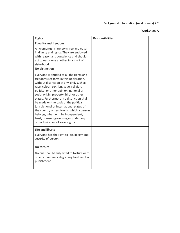# Background information (work sheets) 2.2

Worksheet-A

| Rights                                                                                                                                                                                                                                                                                                                                                                                                                                                                                                                                                                   | Responsibilities |
|--------------------------------------------------------------------------------------------------------------------------------------------------------------------------------------------------------------------------------------------------------------------------------------------------------------------------------------------------------------------------------------------------------------------------------------------------------------------------------------------------------------------------------------------------------------------------|------------------|
| <b>Equality and freedom</b>                                                                                                                                                                                                                                                                                                                                                                                                                                                                                                                                              |                  |
| All women/girls are born free and equal<br>in dignity and rights. They are endowed<br>with reason and conscience and should<br>act towards one another in a spirit of<br>sisterhood                                                                                                                                                                                                                                                                                                                                                                                      |                  |
| <b>No distinction</b>                                                                                                                                                                                                                                                                                                                                                                                                                                                                                                                                                    |                  |
| Everyone is entitled to all the rights and<br>freedoms set forth in this Declaration,<br>without distinction of any kind, such as<br>race, colour, sex, language, religion,<br>political or other opinion, national or<br>social origin, property, birth or other<br>status. Furthermore, no distinction shall<br>be made on the basis of the political,<br>jurisdictional or international status of<br>the country or territory to which a person<br>belongs, whether it be independent,<br>trust, non-self-governing or under any<br>other limitation of sovereignty. |                  |
| Life and liberty                                                                                                                                                                                                                                                                                                                                                                                                                                                                                                                                                         |                  |
| Everyone has the right to life, liberty and<br>security of person.                                                                                                                                                                                                                                                                                                                                                                                                                                                                                                       |                  |
| No torture                                                                                                                                                                                                                                                                                                                                                                                                                                                                                                                                                               |                  |
| No one shall be subjected to torture or to<br>cruel, inhuman or degrading treatment or<br>punishment.                                                                                                                                                                                                                                                                                                                                                                                                                                                                    |                  |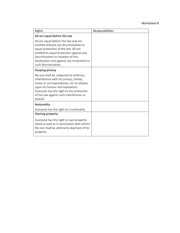| Rights                                                                                                                                                                                                                                                                         | Responsibilities |
|--------------------------------------------------------------------------------------------------------------------------------------------------------------------------------------------------------------------------------------------------------------------------------|------------------|
| All are equal before the law                                                                                                                                                                                                                                                   |                  |
| All are equal before the law and are<br>entitled without any discrimination to<br>equal protection of the law. All are<br>entitled to equal protection against any<br>discrimination in violation of this<br>Declaration and against any incitement to<br>such discrimination. |                  |
| <b>Keeping privacy</b>                                                                                                                                                                                                                                                         |                  |
| No one shall be subjected to arbitrary<br>interference with his privacy, family,<br>home or correspondence, nor to attacks<br>upon his honour and reputation.<br>Everyone has the right to the protection<br>of the law against such interference or<br>attacks                |                  |
| <b>Nationality</b>                                                                                                                                                                                                                                                             |                  |
| Everyone has the right to a nationality                                                                                                                                                                                                                                        |                  |
| <b>Owning property</b><br>Everyone has the right to own property<br>alone as well as in association with others<br>No one shall be arbitrarily deprived of his<br>property                                                                                                     |                  |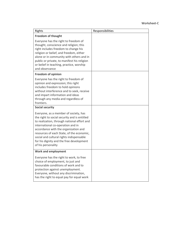| Rights                                                                                                                                                                                                                                                                                                                                                                       | Responsibilities |
|------------------------------------------------------------------------------------------------------------------------------------------------------------------------------------------------------------------------------------------------------------------------------------------------------------------------------------------------------------------------------|------------------|
| <b>Freedom of thought</b>                                                                                                                                                                                                                                                                                                                                                    |                  |
| Everyone has the right to freedom of<br>thought, conscience and religion; this<br>right includes freedom to change his<br>religion or belief, and freedom, either<br>alone or in community with others and in<br>public or private, to manifest his religion<br>or belief in teaching, practice, worship<br>and observance                                                   |                  |
| <b>Freedom of opinion</b>                                                                                                                                                                                                                                                                                                                                                    |                  |
| Everyone has the right to freedom of<br>opinion and expression; this right<br>includes freedom to hold opinions<br>without interference and to seek, receive<br>and impart information and ideas<br>through any media and regardless of<br>frontiers.                                                                                                                        |                  |
| <b>Social security</b>                                                                                                                                                                                                                                                                                                                                                       |                  |
| Everyone, as a member of society, has<br>the right to social security and is entitled<br>to realization, through national effort and<br>international co-operation and in<br>accordance with the organization and<br>resources of each State, of the economic,<br>social and cultural rights indispensable<br>for his dignity and the free development<br>of his personality |                  |
| <b>Work and employment</b>                                                                                                                                                                                                                                                                                                                                                   |                  |
| Everyone has the right to work, to free<br>choice of employment, to just and<br>favourable conditions of work and to<br>protection against unemployment.<br>Everyone, without any discrimination,<br>has the right to equal pay for equal work                                                                                                                               |                  |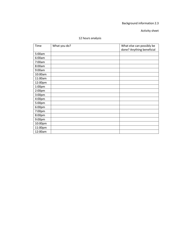# Background information 2.3

# Activity sheet

# 12 hours analysis

| Time               | What you do? | What else can possibly be |
|--------------------|--------------|---------------------------|
|                    |              | done? Anything beneficial |
| 5:00am             |              |                           |
| 6:00am             |              |                           |
| 7:00am             |              |                           |
| 8:00am             |              |                           |
| 9:00am             |              |                           |
| 10:00am            |              |                           |
| 11:00am            |              |                           |
| 12:00pm            |              |                           |
| 1:00 <sub>pm</sub> |              |                           |
| 2:00pm             |              |                           |
| 3:00pm             |              |                           |
| 4:00pm             |              |                           |
| 5:00pm             |              |                           |
| 6:00pm             |              |                           |
| 7:00pm             |              |                           |
| 8:00pm             |              |                           |
| 9:00pm             |              |                           |
| 10:00pm            |              |                           |
| 11:00pm            |              |                           |
| 12:00am            |              |                           |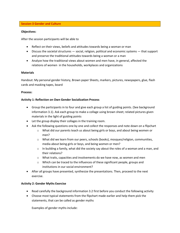#### **Session-3 Gender and Culture**

#### **Objectives:**

After the session participants will be able to

- Reflect on their views, beliefs and attitudes towards being a woman or man
- Discuss the societal structures social, religion, political and economic systems that support and preserve the traditional attitudes towards being a woman or a man
- Analyze how the traditional views about women and men have, in general, affected the relations of women in the households, workplaces and organizations

#### **Materials**

Handout: My personal gender history, Brown paper Sheets, markers, pictures, newspapers, glue, flash cards and masking tapes, board

#### **Process:**

#### **Activity 1: Reflection on Own Gender Socialization Process**

- Group the participants in to four and give each group a list of guiding points. (See background information 3.1). Ask each group to make a collage using brown sheet; related pictures given materials in the light of guiding points
- Let the group display their collages in the training room.
- Ask the following questions one by one and collect the responses and note down on a flipchart
	- $\circ$  What did our parents teach us about being girls or boys, and about being women or men?
	- o What did we learn from our peers, schools (books), mosques/religion, communities, media about being girls or boys, and being women or men?
	- o In building a family, what did the society say about the roles of a woman and a man, and their relations?
	- $\circ$  What traits, capacities and involvements do we have now, as women and men
	- $\circ$  Which can be traced to the influences of these significant people, groups and institutions in our social environment?
- After all groups have presented, synthesize the presentations. Then, proceed to the next exercise.

#### **Activity 2: Gender Myths Exercise**

- Read carefully the background information 3.2 first before you conduct the following activity
- Choose most typical statements from the flipchart made earlier and help them pick the statements, that can be called as gender myths

Examples of gender myths include: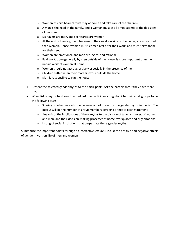- o Women as child bearers must stay at home and take care of the children
- $\circ$  A man is the head of the family, and a woman must at all times submit to the decisions of her man
- o Managers are men, and secretaries are women
- $\circ$  At the end of the day, men, because of their work outside of the house, are more tired than women. Hence, women must let men rest after their work, and must serve them for their needs
- o Women are emotional, and men are logical and rational
- $\circ$  Paid work, done generally by men outside of the house, is more important than the unpaid work of women at home
- o Women should not act aggressively especially in the presence of men
- o Children suffer when their mothers work outside the home
- o Man is responsible to run the house
- Present the selected gender myths to the participants. Ask the participants if they have more myths
- When list of myths has been finalized, ask the participants to go back to their small groups to do the following tasks:
	- $\circ$  Sharing on whether each one believes or not in each of the gender myths in the list. The output will be the number of group members agreeing or not to each statement
	- $\circ$  Analysis of the implications of these myths to the division of tasks and roles, of women and men, and their decision-making processes at home, workplaces and organizations
	- o Listing of social institutions that perpetuate these gender myths.

Summarize the important points through an interactive lecture. Discuss the positive and negative effects of gender myths on life of men and women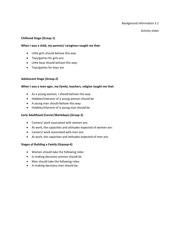#### Background information 3.1

# Activity sheet

#### **Chilhood Stage (Group-1)**

#### **When I was a child, my parents/ caregivers taught me that:**

- Little girls should behave this way
- Toys/games for girls are:
- Little boys should behave this way:
- Toys/games for boys are

# **Adolescent Stage (Group-2)**

#### **When I was a teen-ager, my family, teachers, religion taught me that:**

- As a young woman, I should behave this way
- Hobbies/interests of a young woman should be
- A young man should behave this way:
- Hobbies/interests of a young man should be

### **Early Adulthood (Career/Workdays) (Group-3)**

- Careers/ work associated with women are:
- At work, the capacities and attitudes expected of women are:
- Careers/ work associated with men are:
- At work, the capacities and attitudes expected of men are:

#### **Stages of Building a Family (Grpoup-4)**

- Women should take the following roles:
- In making decisions women should be
- Men should take the following roles:
- In making decisions men should be: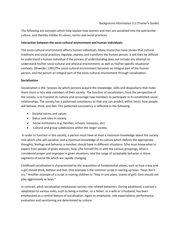The following are concepts which help explain how women and men are socialized into the patriarchal culture, and thereby imbibe its values, norms and social practices.

#### **Interaction between the socio-cultural environment and human individuals:**

The socio-cultural environment affects human individuals. Many researches have shown that cultural traditions and social practices regulate, express and transform the human person. It will then be difficult to understand a human individual if the process of understanding does not include any attempt to understand his/her socio-cultural and physical environment, as well as his/her specific situational contexts. (Shweder, 1991)The socio-cultural environment becomes an integral part of the human person, and the person an integral part of the socio-cultural environment through socialization.

# **Socialization**

Socialization is the "process by which persons acquire the knowledge, skills and dispositions that make them more or less able members of their society. The function of socialization, from the perspective of the society, is to transmit its culture and encourage new members to participate in its established social relationships. The society has a patterned consistency so that one can predict, within limits, how people will behave, think, and feel. This patterned consistency is reflected in the following:

- Societal norms and values.
- Status and roles in society
- Social institutions (e.g. families, schools, mosques, etc)
- Cultural and group subdivisions within the larger society.

In order to function in this society, a person must have at least a minimum knowledge about the society into which s/he will socialize, and a minimum knowledge of its culture which defines the appropriate thoughts, feelings and behavior a member should have in different situations. S/he must know what to expect from people of given statuses, how s/he himself fits in with the various groupings, what is considered proper and improper in given situations, and the range of acceptable behavior in those segments of social life which are rapidly changing

Childhood socialization is characterized by the acquisition of fundamental values, such as how a boy and a girl should think, behave and feel. One example is the common script in rearing up boys: "boys don't cry." Another example of a script in rearing children is: "Stay in one place, (name of girl). Girls should not play aggressively as boys."

In contrast, adult socialization emphasizes various role-related behaviors. During adulthood, a person's adaptation to various roles, such as being a mother, or a father, or a wife or a husband, has been emphasized as a central feature of socialization. Again to emphasize, role expectations, performance, evaluation and sanctioning are determined by culture.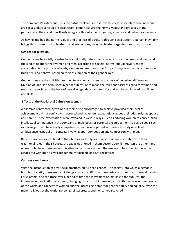The dominant Pakistani culture is the patriarchal culture. It is into this type of society where individuals are socialized. As a result of socialization, people acquire the norms, values and practices of the patriarchal culture, and unwittingly integrate this into their cognitive, affective and behavioral systems.

As having imbibed the norms, values and practices of a culture through socialization, a person inevitably brings this culture to all of his/her social interactions, including his/her organizations or work place

# **Gender Socialization**

Gender refers to socially constructed or culturally determined characteristics of women and men, and to the kind of relations that women and men, according to societal norms, should have. Gender socialization is the process whereby women and men learn the "proper" ways a woman or a man should think, feel and behave, based on their assumption of their gender roles

Gender roles are the activities ascribed to women and men on the basis of perceived differences. Division of labor is a term used in gender literature to mean the roles and tasks assigned to women and men by the society on the basis of perceived gender characteristics and attributes, instead of abilities and skills

# **Effects of the Patriarchal Culture on Women**

A dilemma confronted by women is their being encouraged to achieve provided their level of achievement did not conflict with parental and male-peer expectations about their adult roles as spouse and parent. These expectations were revealed in various ways, such as advising women to conceal their intellectual competence in the company of male peers or parental encouragement to pursue goals such as marriage. The intellectually competent woman was regarded with some hostility or at least ambivalence, especially in contexts involving open competition and comparison with men.

Because women are confined to their homes and to types of work that are associated with their traditional roles in their houses, the capacities honed in them become very limited. On the other hand, women who have transcended this situation and have proven themselves to be skilled in the works associated with men as well are generally ridiculed, and not recognized.

#### **Cultures can change**

With the introduction of new social practices, culture can change. The society into which a person is born is not static; there are conflicting pressures, a diffusion of materials and ideas, and general trends. For example, one can trace over a period of time the movement of families to the suburbs, the increasing emancipation of women; changing patters of child rearing, etc. With the growing awareness of the worth and capacity of women and the increasing clamor for gender equity and equality, even the major religious of the world are being reinterpreted, and hence, rediscovered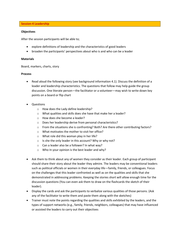**Session-4 Leadership** 

#### **Objectives**

After the session participants will be able to;

- explore definitions of leadership and the characteristics of good leaders
- broaden the participants' perspectives about who is and who can be a leader

#### **Materials**

Board, markers, charts, story

#### **Process**

- Read aloud the following story (see background information 4.1). Discuss the definition of a leader and leadership characteristics. The questions that follow may help guide the group discussion. One literate person—the facilitator or a volunteer—may wish to write down key points on a board or flip chart
- Questions
	- o How does the Lady define leadership?
	- o What qualities and skills does she have that make her a leader?
	- o How does she become a leader?
	- o Does her leadership derive from personal characteristics?
	- o From the situations she is confronting? Both? Are there other contributing factors?
	- o What motivates the mother to visit her office?
	- o What role did this woman play in her life?
	- o Is she the only leader in this account? Why or why not?
	- o Can a leader also be a follower? In what way?
	- o Who In your opinion is the best leader and why?
- Ask them to think about any of women they consider as their leader. Each group of participant should share their story about the leader they admire. The leaders may be conventional leaders such as political officials or women in their everyday life—family, friends, or colleagues. Focus on the challenges that this leader confronted as well as on the qualities and skills that she demonstrated in addressing problems. Keeping the stories short will allow enough time for the discussion questions (You can even ask them to draw on the flashcards the sketch of their leader).
- Display the cards and ask the participants to verbalize various qualities of those persons. (Ask any of the facilitator to write them and paste them along with the sketches)
- Trainer must note the points regarding the qualities and skills exhibited by the leaders, and the types of support networks (e.g., family, friends, neighbors, colleagues) that may have influenced or assisted the leaders to carry out their objectives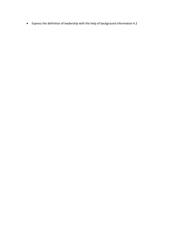Express the definition of leadership with the help of background information 4.2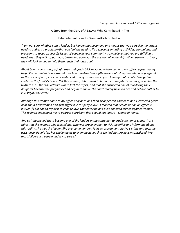A Story from the Diary of A Lawyer Who Contributed In The

Establishment Laws for Women/Girls Protection

*"I am not sure whether I am a leader, but I know that becoming one means that you perceive the urgent need to address a problem—that you feel the need to fill a space by initiating activities, campaigns, and programs to focus on specific issues. If people in your community truly believe that you are fulfilling a need, then they will support you, bestowing upon you the position of leadership. When people trust you, they will look to you to help them reach their own goals.*

*About twenty years ago, a frightened and grief-stricken young widow came to my office requesting my help. She recounted how close relative had murdered their fifteen-year old daughter who was pregnant as the result of a rape. He was sentenced to only six months in jail, claiming that he killed the girl to vindicate the family's honor. Yet this woman, determined to honor her daughter's memory, revealed the truth to me—that the relative was in fact the rapist, and that she suspected him of murdering their daughter because the pregnancy had begun to show. The court readily believed her and did not bother to investigate the crime.*

*Although this woman came to my office only once and then disappeared, thanks to her, I learned a great deal about how women and girls suffer due to specific laws. I realized that I could not be an effective lawyer if I did not do my best to change laws that cover up and even sanction crimes against women. This woman challenged me to address a problem that I could not ignore—crimes of honor.*

*And so it happened that I became one of the leaders in the campaign to eradicate honor crimes. Yet I think that this woman who trusted me, who was brave enough to visit my office and inform me about this reality, she was the leader. She overcame her own fears to expose her relative's crime and seek my assistance. People like her challenge us to examine issues that we had not previously considered. We must follow such people and try to serve."*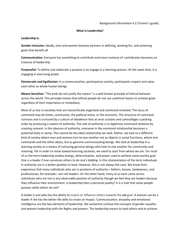### **What is Leadership?**

### **Leadership is:**

**Gender-Inclusive:** Ideally, men and women become partners in defining, working for, and achieving goals that benefit all

**Communicative:** Everyone has something to contribute and every instance of contribution becomes an instance of leadership

**Purposeful:** To define and elaborate a purpose is to engage in a learning process. At the same time, it is engaging in exercising power

**Democratic and Egalitarian:** In a communicative, participatory society, participants respect and value each other as whole human beings

**Means-Sensitive:** "The ends do not justify the means" is a well-known principle of ethical behavior across the world. This principle means that ethical people do not use unethical means to achieve goals regardless of their importance or immediacy.

Most of us live in societies that are hierarchically organized and command-oriented. The locus of command may be home, community, the political arena, or the economy. The structure of command nurtures and is nurtured by a culture of obedience that at once sustains and camouflages a pecking order by producing a system of authority. The role of authority is to legitimize command relations by creating consent. In the absence of authority, everyone in the command relationship becomes a potential bully or wimp. This cannot be the ideal relationship we seek. Rather, we look to a different kind of society where men and women turn to one another not as objects in social functions, where one commands and the other obeys, but as genuine communicating beings. We look at leadership in a learning society as a means of nurturing genuine beings who look to one another for community and meaning. Yet in order to move toward learning societies, we need to start from where we are. For most of us the term leadership evokes energy, determination, and power used to achieve some worthy goal. One is a leader if one convinces others to do one's bidding. In this interpretation of the term individuals in authority are in a better position to lead. However, this is not always the case. We know from experience that many individuals who are in positions of authority—fathers, bosses, landowners, and professionals, for example—are not leaders. On the other hand, many of us have come across individuals who are not in any observable position of authority though we feel they are leaders because they influence their environment. Is leadership then a personal quality? Is it a trait that some people possess while others do not?

A leader is one who has the ability to inspire or influence others towards the **set** goal. A woman can be a leader if she has the better life skills to create an impact. Communication, empathy and emotional intelligence are the key elements of leadership. We sometime confuse the concepts of gender equality and women leadership with the Rights and powers. The leadership means to lead others and to achieve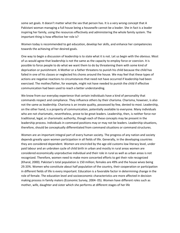some set goals. It doesn't matter what the sex that person has. It is a very wrong concept that A Pakistani woman managing a full house being a housewife cannot be a leader. She in fact is a leader inspiring her family, using the resources effectively and administering the whole family system. The important thing is how effective her role is?

Women today is recommended to get education, develop her skills, and enhance her competencies towards the achieving of her desired goals.

One way to begin a discussion of leadership is to state what it is not. Let us begin with the obvious. Most of us would agree that leadership is not the same as the capacity to employ force or coercion. It is possible to force people to do what we want them to do by threatening them with some kind of deprivation or punishment. A Mother or a father threatens to punish his child because the child has failed in one of his classes or neglected his chores around the house. We may feel that these types of actions are negative reactions to circumstances that need not have occurred if leadership had been exercised. The mother/father, for example, might not have needed to punish the child if effective communication had been used to reach a better understanding.

We know from our everyday experience that certain individuals have a kind of personality that commands respect and compliance. They influence others by their charisma. Charisma, however, is also not the same as leadership. Charisma is an innate quality, possessed by few, denied to most. Leadership, on the other hand, is a property of communication, potentially available to everyone. Many individuals who are not charismatic, nevertheless, prove to be great leaders. Leadership, then, is neither force nor traditional, legal, or charismatic authority, though each of these concepts may be present in the leadership process. Individuals in command positions may or may not be leaders. Leadership situations, therefore, should be conceptually differentiated from command situations or command structures.

Women are an important integral part of every human society. The progress of any nation and society depends greatly upon women participation in all fields of life. Generally, in the developing countries they are considered dependent. Women are encircled by the age old customs low literacy level, under paid labour and an unbroken cycle of child birth in urban and mostly in rural areas women are considered economically unproductive individual and their role in rural as well as urban areas is not recognized. Therefore, women need to make more concerted efforts to get their role recognized (Kharal, 2000). Pakistan's total population is 150 million; females are 49% and the house wives being 29.33%. Women who constitute about half population of the country, their cooperation or participation in different fields of life is every important. Education is a favorable factor in determining change in the role of female. The education level and socioeconomic characteristics are more affected in decision making process in family maters (Economic Survey, 2004- 05). Women have different roles such as mother, wife, daughter and sister which she performs at different stages of her life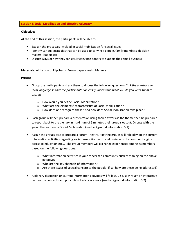#### **Session-5 Social Mobilization and Effective Advocacy**

#### **Objectives**

At the end of this session, the participants will be able to:

- Explain the processes involved in social mobilization for social issues
- Identify various strategies that can be used to convince people, family members, decision makers, leaders etc
- Discuss ways of how they can easily convince donors to support their small business

**Materials:** white board, Flipcharts, Brown paper sheets, Markers

#### **Process**

- Group the participants and ask them to discuss the following questions *(Ask the questions in local language so that the participants can easily understand what you do you want them to express)*
	- o How would you define Social Mobilization?
	- o What are the elements/ characteristics of Social mobilization?
	- o How does one recognize these? And how does Social Mobilization take place?
- Each group will then prepare a presentation using their answers as the theme then be prepared to report back to the plenary in maximum of 5 minutes their group's output. Discuss with the group the features of Social Mobilization(see background information 5.1)
- Assign the groups task to prepare a Forum Theatre. First the groups will role play on the current information activities regarding social issues like health and hygiene in the community, girls access to education etc... (The group members will exchange experiences among its members based on the following questions:
	- $\circ$  What information activities is your concerned community currently doing on the above initiative?
	- o Who are the key channels of information?
	- $\circ$  Are these issues of special concern to the people- if so, how are these being addressed?)
- A plenary discussion on current information activities will follow. Discuss through an interactive lecture the concepts and principles of advocacy work (see background information 5.2)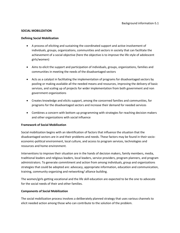#### **SOCIAL MOBILIZATION**

#### **Defining Social Mobilization**

- A process of eliciting and sustaining the coordinated support and active involvement of individuals, groups, organizations, communities and sectors in society that can facilitate the achievement of a social objective (here the objective is to improve the life style of adolescent girls/women)
- Aims to elicit the support and participation of individuals, groups, organizations, families and communities in meeting the needs of the disadvantaged sectors
- Acts as a catalyst in facilitating the implementation of programs for disadvantaged sectors by pooling or making available all the needed means and resources, improving the delivery of basic services, and scaling up of projects for wider implementation from both government and non government organizations
- Creates knowledge and elicits support, among the concerned families and communities, for programs for the disadvantaged sectors and increase their demand for needed services
- Combines a concern with bottom up programming with strategies for reaching decision makers and other organizations with social influence

#### **Framework of Social Mobilization**

Social mobilization begins with an identification of factors that influence the situation that the disadvantaged sectors are in and their problems and needs. These factors may be found in their socioeconomic-political environment, local culture, and access to program services, technologies and resources and home environment.

Interventions to improve their situation are in the hands of decision makers, family members, media, traditional leaders and religious leaders, local leaders, service providers, program planners, and program administrators. To generate commitment and action from among individuals, group and organizations strategies that could be adopted are: advocacy, appropriate information, education and communication, training, community organizing and networking/ alliance building.

The women/girls getting vocational and the life skill education are expected to be the one to advocate for the social needs of their and other families.

#### **Components of Social Mobilization**

The social mobilization process involves a deliberately planned strategy that uses various channels to elicit needed action among those who can contribute to the solution of the problem.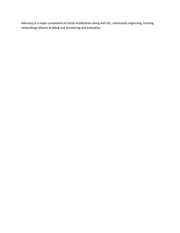Advocacy is a major component of social mobilization along with IEC, community organizing, training, networking/ alliance building and monitoring and evaluation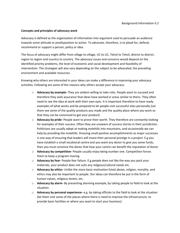#### **Concepts and principles of advocacy work**

Advocacy is defined as the organization of information into argument used to persuade an audience towards some attitude or predisposition to action. To advocate, therefore, is to plead for, defend, recommend or support a person, policy or idea.

The focus of advocacy might differ from village to village, UC to UC, Tehsil to Tehsil, district to district, region to region and country to country. The advocacy issues and concerns would depend on the identified priority problems, the level of economic and social development and feasibility of intervention. The strategies will also vary depending on the subject to be advocated, the prevailing environment and available resources.

Knowing why others are interested in your ideas can make a difference in improving your advocacy activities. Following are some of the reasons why others accept your advocacy:

- o **Advocacy by example-** They are seldom willing to take risks. People want to succeed and therefore they seek assurance that ideas have worked in areas similar to theirs. They often need to see the idea at work with their own eyes. It is important therefore to have ready examples of what works and be prepared to let people visit successful sites personally (Let them see some of the quality products you made and the quality place where you work so that they can be convinced to get your product)
- o **Advocacy by pride-** People want to prove their worth. They therefore are constantly looking for examples of their success. Often they are unaware of success stories in their jurisdiction. Politicians are usually adept at making molehills into mountains, and occasionally we can help by providing the molehills. Dressing small positive accomplishments as major successes is one way of ensuring that leaders will invest their personal prestige in a project. E.g you have establish a small vocational centre and you want any donor to give you some funds, then you must convince the donor that how your centre can benefit the reputation of donor
- o **Advocacy by competition-** People usually enjoy being number one. Competition forces them to keep a program moving
- o **Advocacy by fear-** People fear failure. E.g people does not like the way you pack your materials, your product does not suits any religious/cultural needs etc.
- o **Advocacy by ethics-** Unlike the more basic motivation listed above, religion, morality, and ethics may also be important to people. Our ideas can therefore be put in the form of human values, religious tenets, etc.
- o **Advocacy by alarm-** By presenting alarming example, by taking people to field to look at the situation.
- o **Advocacy by personal experience-** e.g. by taking officials to the field to look at the situation (let them visit some of the places where there is need to improve the infrastructure, to provide basic facilities or where you want to start your business)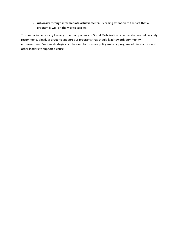o **Advocacy through intermediate achievements-** By calling attention to the fact that a program is well on the way to success

To summarize, advocacy like any other components of Social Mobilization is deliberate. We deliberately recommend, plead, or argue to support our programs that should lead towards community empowerment. Various strategies can be used to convince policy makers, program administrators, and other leaders to support a cause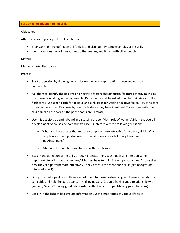#### **Session-6 Introduction to life skills**

#### **Objectives**

After the session participants will be able to;

- Brainstorm on the definition of life skills and also identify some examples of life skills
- Identify various life skills important to themselves, and linked with other people

#### Material

Marker, charts, flash cards

#### Process

- Start the session by drawing two circles on the floor, representing house and outside community.
- Ask them to identify the positive and negative factors characteristics/features of staying inside the house or working in the community. Participants shall be asked to write their views on the flash cards (use green cards for positive and pink cards for writing negative factors). Put the card in respective circles. Read one by one the features they have identified. Trainer can write their said points on the cards if the participants are illiterate
- Use this activity as a springboard in discussing the confident role of women/girls in the overall development of house and community. Discuss interactively the following questions.
	- $\circ$  What are the features that make a workplace more attractive for women/girls? Why people want their girls/women to stay at home instead of doing their own jobs/businesses?
	- o What are the possible ways to deal with the above?
- Explain the definition of life skills through brain storming techniques and mention some important life skills that the women /girls must have to build in their personalities. Discuss that how they can perform more effectively if they process the mentioned skills (see background information 6.1)
- Group the participants in to three and ask them to make posters on given themes. Facilitators can guide and help the participants in making posters (Group-1 having good relationship with yourself, Group-2 Having good relationship with others, Group-3 Making good decisions)
- Explain in the light of background information 6.2 the importance of various life skills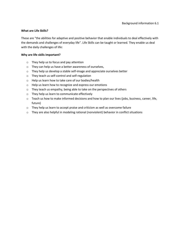#### **What are Life Skills?**

These are "the abilities for adaptive and positive behavior that enable individuals to deal effectively with the demands and challenges of everyday life". Life Skills can be taught or learned. They enable us deal with the daily challenges of life:

#### **Why are life skills important?**

- o They help us to focus and pay attention
- o They can help us have a better awareness of ourselves,
- o They help us develop a stable self-image and appreciate ourselves better
- o They teach us self-control and self-regulation
- o Help us learn how to take care of our bodies/health
- o Help us learn how to recognize and express our emotions
- o They teach us empathy, being able to take on the perspectives of others
- o They help us learn to communicate effectively
- $\circ$  Teach us how to make informed decisions and how to plan our lives (jobs, business, career, life, future)
- o They help us learn to accept praise and criticism as well as overcome failure
- $\circ$  They are also helpful in modeling rational (nonviolent) behavior in conflict situations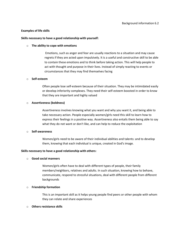#### **Examples of life skills**

#### **Skills necessary to have a good relationship with yourself:**

#### o **The ability to cope with emotions**

Emotions, such as anger and fear are usually reactions to a situation and may cause regrets if they are acted upon impulsively. It is a useful and constructive skill to be able to contain these emotions and to think before taking action. This will help people to act with thought and purpose in their lives. Instead of simply reacting to events or circumstances that they may find themselves facing

#### o **Self-esteem**

Often people lose self-esteem because of their situation. They may be intimidated easily or develop inferiority complexes. They need their self-esteem boosted in order to know that they are important and highly valued

#### o **Assertiveness (boldness)**

Assertiveness involves knowing what you want and why you want it, and being able to take necessary action. People especially women/girls need this skill to learn how to express their feelings in a positive way. Assertiveness also entails them being able to say what they do not want or don't like, and can help to reduce the exploitation

#### o **Self-awareness**

Women/girls need to be aware of their individual abilities and talents: and to develop them, knowing that each individual is unique, created in God's image.

#### **Skills necessary to have a good relationship with others:**

#### o **Good social manners**

Women/girls often have to deal with different types of people, their family members/neighbors, relatives and adults. In such situation, knowing how to behave, communicate, respond to stressful situations, deal with different people from different backgrounds

#### o **Friendship formation**

This is an important skill as it helps young people find peers or other people with whom they can relate and share experiences

#### o **Others resistance skills**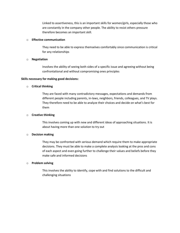Linked to assertiveness, this is an important skills for women/girls, especially those who are constantly in the company other people. The ability to resist others pressure therefore becomes an important skill.

#### o **Effective communication**

They need to be able to express themselves comfortably since communication is critical for any relationships

#### o **Negotiation**

Involves the ability of seeing both sides of a specific issue and agreeing without being confrontational and without compromising ones principles

#### **Skills necessary for making good decisions:**

#### o **Critical thinking**

They are faced with many contradictory messages, expectations and demands from different people including parents, in-laws, neighbors, friends, colleagues, and TV plays. They therefore need to be able to analyze their choices and decide on what's best for them

#### o **Creative thinking**

This involves coming up with new and different ideas of approaching situations. It is about having more than one solution to try out

#### o **Decision making**

They may be confronted with serious demand which require them to make appropriate decisions. They must be able to make a complete analysis looking at the pros and cons of each aspect and even going further to challenge their values and beliefs before they make safe and informed decisions

#### o **Problem solving**

This involves the ability to identify, cope with and find solutions to the difficult and challenging situations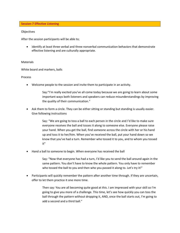#### **Session-7 Effective Listening**

#### **Objectives**

After the session participants will be able to;

 Identify at least three verbal and three nonverbal communication behaviors that demonstrate effective listening and are culturally appropriate.

#### **Materials**

White board and markers, balls

#### Process

- Welcome people to the session and invite them to participate in an activity.
	- Say:"I'm really excited you've all come today because we are going to learn about some important ways both listeners and speakers can reduce misunderstandings by improving the quality of their communication."
- Ask them to form a circle. They can be either sitting or standing but standing is usually easier. Give following instructions
	- Say: "We are going to toss a ball to each person in the circle and I'd like to make sure everyone receives the ball and tosses it along to someone else. Everyone please raise your hand. When you get the ball, find someone across the circle with her or his hand up and toss it to her/him. When you've received the ball, put your hand down so we know that you've had a turn. Remember who tossed it to you, and to whom you tossed it"
- Hand a ball to someone to begin. When everyone has received the ball
	- Say: "Now that everyone has had a turn, I'd like you to send the ball around again in the same pattern. You don't have to know the whole pattern. You only have to remember who tossed the ball to you and then who you passed it along to. Let's try it!"
- Participants will quickly remember the pattern after another time through. If they are uncertain, offer to let them practice it one more time.
	- Then say: You are all becoming quite good at this. I am impressed with your skill so I'm going to give you more of a challenge. This time, let's see how quickly you can toss the ball through the pattern without dropping it, AND, once the ball starts out, I'm going to add a second and a third ball."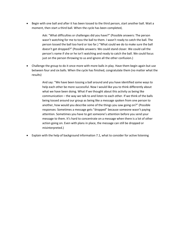Begin with one ball and after it has been tossed to the third person, start another ball. Wait a moment, then start a third ball. When the cycle has been completed,

> Ask: "What difficulties or challenges did you have?" (Possible answers: The person wasn't watching for me to toss the ball to them. I wasn't ready to catch the ball. The person tossed the ball too hard or too far.) "What could we do to make sure the ball doesn't get dropped?" (Possible answers: We could stand closer. We could call the person's name if she or he isn't watching and ready to catch the ball. We could focus just on the person throwing to us and ignore all the other confusion.)

 Challenge the group to do it once more with more balls in play. Have them begin again but use between four and six balls. When the cycle has finished, congratulate them (no matter what the results)

> And say: "We have been tossing a ball around and you have identified some ways to help each other be more successful. Now I would like you to think differently about what we have been doing. What if we thought about this activity as being like communication – the way we talk to and listen to each other. If we think of the balls being tossed around our group as being like a message spoken from one person to another, how would you describe some of the things you saw going on?" (Possible responses: Sometimes a message gets "dropped" because someone wasn't paying attention. Sometimes you have to get someone's attention before you send your message to them. It's hard to concentrate on a message when there is a lot of other action going on. Even with plans in place, the message can still be dropped or misinterpreted.)

Explain with the help of background information 7.1, what to consider for active listening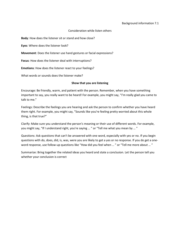#### Background information 7.1

#### Consideration while listen others

**Body**: How does the listener sit or stand and how close?

**Eyes**: Where does the listener look?

**Movement**: Does the listener use hand gestures or facial expressions?

**Focus**: How does the listener deal with interruptions?

**Emotions**: How does the listener react to your feelings?

What words or sounds does the listener make?

#### **Show that you are listening**

Encourage: Be friendly, warm, and patient with the person. Remember, when you have something important to say, you really want to be heard! For example, you might say, "I'm really glad you came to talk to me."

Feelings: Describe the feelings you are hearing and ask the person to confirm whether you have heard them right. For example, you might say, "Sounds like you're feeling pretty worried about this whole thing, is that true?"

Clarify: Make sure you understand the person's meaning or their use of different words. For example, you might say, "If I understand right, you're saying ... " or "Tell me what you mean by ... "

Questions: Ask questions that can't be answered with one word, especially with yes or no. If you begin questions with do, does, did, is, was, were you are likely to get a yes or no response. If you do get a oneword response, use follow-up questions like "How did you feel when … " or "Tell me more about … "

Summarize: Bring together the related ideas you heard and state a conclusion. Let the person tell you whether your conclusion is correct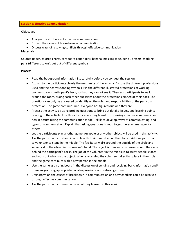#### **Session-8 Effective Communication**

#### **Objectives**

- Analyze the attributes of effective communication
- Explain the causes of breakdown in communication
- Discuss ways of resolving conflicts through effective communication

#### **Materials**

Colored paper, colored charts, cardboard paper, pins, banana, masking tape, pencil, erasers, marking pens (different colors), cut out of different symbols

#### **Process**

- Read the background information 8.1 carefully before you conduct the session
- Explain to the participants clearly the mechanics of the activity. Discuss the different professions used and their corresponding symbols. Pin the different illustrated professions of working women to each participant's back, so that they cannot see it. Then ask participants to walk around the room, asking each other questions about the professions pinned at their back. The questions can only be answered by identifying the roles and responsibilities of the particular profession. The game continues until everyone has figured out who they are
- Process the activity by using probing questions to bring out details, issues, and learning points relating to the activity. Use this activity as a spring board in discussing effective communication how it occurs (using the communication model), skills to develop, ways of communicating, and types of communication. Explain that asking questions is good to get the exact message for others
- Let the participants play another game. An apple or any other object will be used in this activity. Ask the participants to stand in a circle with their hands behind their backs. Ask one participant to volunteer to stand in the middle. The facilitator walks around the outside of the circle and secretly slips the object into someone's hand. The object is then secretly passed round the circle behind the participant's backs. The job of the volunteer in the middle is to study people's faces and work out who has the object. When successful, the volunteer takes that place in the circle and the game continues with a new person in the middle
- Use the game as a springboard in the discussion of sending and receiving basic information and/ or messages using appropriate facial expressions, and natural gestures
- Brainstorm on the causes of breakdown in communication and how conflicts could be resolved through effective communication
- Ask the participants to summarize what they learned in this session.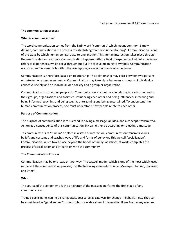#### **The communication process**

### **What is communication?**

The word communication comes from the Latin word "communis" which means common. Simply defined, communication is the process of establishing "common understanding". Communication is one of the ways by which human beings relate to one another. This human interaction takes place through the use of codes and symbols. Communication happens within a field of experience. Field of experience refers to experiences, which occur throughout our life to give meaning to symbols. Communication occurs when the signal falls within the overlapping areas of two fields of experience.

Communication is, therefore, based on relationship. This relationship may exist between two persons, or between one person and many. Communication may take place between a group, an individual, a collective society and an individual, or a society and a group or organization.

Communication is something people do. Communication is about people relating to each other and to their groups, organizations and societies- influencing each other and being influenced; informing and being informed; teaching and being taught; entertaining and being entertained. To understand the human communication process, one must understand how people relate to each other.

#### **Purpose of Communication**

The purpose of communication is to succeed in having a message, an idea, and a concept, transmitted. Action as a consequence of this communication link can either be accepting or rejecting a message.

To communicate is to "tune in" or place in a state of interaction, communication transmits values, beliefs and customs and teaches ways of life and forms of behavior. This we call "socialization". Communication, which takes place beyond the bonds of family- at school, at work- completes the process of socialization and integration with the community.

#### **The Communication Process**

Communication may be one- way or two- way. The Laswell model, which is one of the most widely used models of the communication process, has the following elements: Source, Message, Channel, Receiver, and Effect.

#### **Who**

The source of the sender who is the originator of the message performs the first stage of any communication.

Trained participants can help change attitudes; serve as catalysts for change in behavior, etc. They can be considered as "gatekeepers" through whom a wide range of information flows from many sources.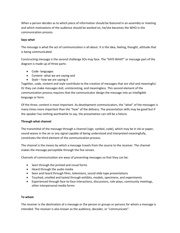When a person decides as to which piece of information should be featured in an assembly or meeting and which motivations of the audience should be worked on, he/she becomes the WHO in the communication process.

# **Says what**

The message is what the act of communication is all about. It is the idea, feeling, thought, attitude that is being communicated.

Constructing message is the second challenge SOs may face. The "SAYS WHAT" or message part of the diagram is made up of three parts:

- Code-languages
- Content- what we are saying and
- $\bullet$  Style how we are saying it

Together, code, content and style contribute to the creation of messages that are vital and meaningful. Or they can make messages dull, uninteresting, and meaningless. This second element of the communication process requires that the communicator design the message into an intelligible language or form.

Of the three, content is most important. As development communicators, the "what" of the messages is many times more important than the "how" of the delivery. The presentation skills may be good but if the speaker has nothing worthwhile to say, the presentation can still be a failure.

# **Through what channel**

The transmittal of the message through a channel (sign, symbol, code), which may be in ink or paper, sound waves in the air or any signal capable of being understood and interpreted meaningfully, constitutes the third element of the communication process.

The channel is the means by which a message travels from the source to the receiver. The channel makes the message perceptible through the five senses.

Channels of communication are ways of presenting messages so that they can be:

- Seen through the printed and visual forms
- Heard through the audio media
- Seen and heard through films, televisions, sound slide tape presentations
- Touched, smelled and tasted through exhibits, models, specimens, and experiments
- Experienced through face-to-face interactions, discussions, role-plays, community meetings, other interpersonal media forms

#### **To whom**

The receiver is the destination of a message or the person or groups or persons for whom a message is intended. The receiver is also known as the audience, decoder, or "communicate".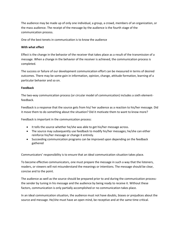The audience may be made up of only one individual, a group, a crowd, members of an organization, or the mass audience. The receipt of the message by the audience is the fourth stage of the communication process.

One of the best tenets in communication is to know the audience

# **With what effect**

Effect is the change in the behavior of the receiver that takes place as a result of the transmission of a message. When a change in the behavior of the receiver is achieved, the communication process is completed.

The success or failure of our development communication effort can be measured in terms of desired outcomes. There may be some gain in information, opinion, change, attitude formation, learning of a particular behavior and so on.

# **Feedback**

The two-way communication process (or circular model of communication) includes a sixth elementfeedback.

Feedback is a response that the source gets from his/ her audience as a reaction to his/her message. Did it move them to do something about the situation? Did it motivate them to want to know more?

Feedback is important in the communication process:

- It tells the source whether he/she was able to get his/her message across.
- The source may subsequently use feedback to modify his/her messages; he/she can either reinforce his/her message or change it entirely.
- Succeeding communication programs can be improved upon depending on the feedback gathered

Communicators' responsibility is to ensure that an ideal communication situation takes place.

To become effective communicators, one must prepare the message in such a way that the listeners, readers, or viewers will not misunderstand the meanings or intentions. The message should be clear, concise and to the point.

The audience as well as the source should be prepared prior to and during the communication processthe sender by tuning in his message and the audience by being ready to receive it. Without these factors, communication is only partially accomplished or no communication takes place.

In an ideal communication situation, the audience must not have doubts, biases or prejudices about the source and message. He/she must have an open mind, be receptive and at the same time critical.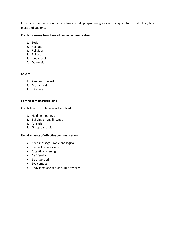Effective communication means a tailor- made programming specially designed for the situation, time, place and audience

#### **Conflicts arising from breakdown in communication**

- 1. Social
- 2. Regional
- 3. Religious
- 4. Political
- 5. Ideological
- 6. Domestic

#### **Causes**

- **1.** Personal interest
- **2.** Economical
- **3.** Illiteracy

# **Solving conflicts/problems**

Conflicts and problems may be solved by:

- 1. Holding meetings
- 2. Building strong linkages
- 3. Analysis
- 4. Group discussion

#### **Requirements of effective communication**

- Keep message simple and logical
- Respect others views
- **•** Attentive listening
- Be friendly
- Be organized
- Eye contact
- Body language should support words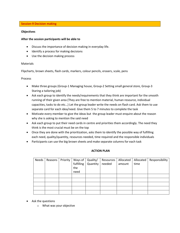**Session-9 Decision making** 

#### **Objectives**

#### **After the session participants will be able to**

- Discuss the importance of decision making in everyday life.
- Identify a process for making decisions
- Use the decision making process

#### **Materials**

Flipcharts, brown sheets, flash cards, markers, colour pencils, erasers, scale, pens

Process

- Make three groups (Group-1 Managing house, Group-2 Setting small general store, Group-3 Staring a tailoring job)
- Ask each group to identify the needs/requirements that they think are important for the smooth running of their given area (They are free to mention material, human resource, individual capacities, tasks to do etc…) Let the group leader write the needs on flash card. Ask them to use separate card for each idea/need. Give them 5 to 7 minutes to complete the task
- Motivate every member to give the ideas but the group leader must enquire about the reason why she is asking to mention the said need
- Ask each group to put their need cards in centre and priorities them accordingly. The need they think is the most crucial must be on the top
- Once they are done with the prioritization, asks them to identify the possible way of fulfilling each need, quality/quantity, resources needed, time required and the responsible individuals
- Participants can use the big brown sheets and make separate columns for each task

#### **ACTION PLAN**

| <b>Needs</b> | Reasons | Priority | Ways of    | Quality/ | Resources | Allocated | Allocated | Responsibility |
|--------------|---------|----------|------------|----------|-----------|-----------|-----------|----------------|
|              |         |          | fulfilling | Quantity | needed    | amount    | time      |                |
|              |         |          | the        |          |           |           |           |                |
|              |         |          | need       |          |           |           |           |                |
|              |         |          |            |          |           |           |           |                |
|              |         |          |            |          |           |           |           |                |
|              |         |          |            |          |           |           |           |                |
|              |         |          |            |          |           |           |           |                |
|              |         |          |            |          |           |           |           |                |

- Ask the questions
	- o What was your objective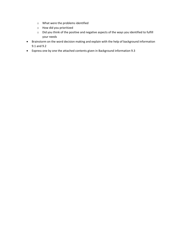- o What were the problems identified
- o How did you prioritized
- o Did you think of the positive and negative aspects of the ways you identified to fulfill your needs
- Brainstorm on the word decision making and explain with the help of background information 9.1 and 9.2
- Express one by one the attached contents given in Background information 9.3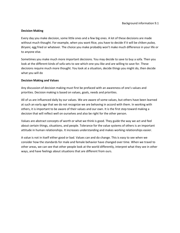#### **Decision Making**

Every day you make decision, some little ones and a few big ones. A lot of these decisions are made without much thought. For example, when you want Rice, you have to decide if it will be chiken *pulao, Biryani,* egg fried or whatever. The choice you make probably won't make much difference in your life or to anyone else.

Sometimes you make much more important decisions. You may decide to save to buy a sofa. Then you look at the different kinds of sofa sets to see which one you like and are willing to save for. These decisions require much more thought. You look at a situation, decide things you might do, then decide what you will do

#### **Decision Making and Values**

Any discussion of decision making must first be prefaced with an awareness of one's values and priorities. Decision making is based on values, goals, needs and priorities.

All of us are influenced daily by our values. We are aware of some values, but others have been learned at such an early age that we do not recognize we are behaving in accord with them. In working with others, it is important to be aware of their values and our own. It is the first step toward making a decision that will reflect well on ourselves and also be right for the other person.

Values are abstract concepts of worth or what we think is good. They guide the way we act and feel about certain things, situations, and people. Tolerance for the value systems of others is an important attitude in human relationships. It increases understanding and makes working relationships easier.

A value is not in itself either good or bad. Values can and do change. This is easy to see when we consider how the standards for male and female behavior have changed over time. When we travel to other areas, we can see that other people look at the world differently, interpret what they see in other ways, and have feelings about situations that are different from ours.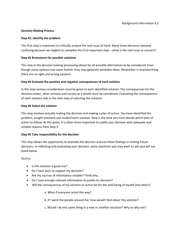#### **Decision Making Process**

### **Step #1: identify the problem**

This first step is important to critically analyze the real issue at hand. Many times decisions become confusing because we neglect to complete this first important step -- what is the real issue or concern?

# **Step #2 Brainstorm for possible solutions**

This step in the decision making processing allows for all possible alternatives to be considered. Even though some options may seem foolish, they may generate workable ideas. Remember in brainstorming there are no right and wrong answers.

# **Step #3 Evaluate the positive and negative consequences of each solution**

In this step serious consideration must be given to each identified solution. The consequences for the decision maker, other persons and society as a whole must be considered. Evaluating the consequences of each solution aids in the next step of selecting the solution.

#### **Step #4 Select the solution**

This step involves actually making the decision and making a plan of action. You have identified the problem, sought solutions and studied each solution. Now is the time you must decide which plan of action to follow. At this point, it is often times important to justify your decision with adequate and reliable reasons from Step 3.

#### **Step #5 Take responsibility for the decision**

This step allows the opportunity to evaluate the decision and use these findings in making future decisions. In reflecting and evaluating your decision, some questions you may want to ask yourself are listed below

#### Yes/no

- Is this solution a good one?
- Do I have facts to support my decision?
- Are my sources of information reliable? Think why.
- Do I have enough relevant information to justify my decision?
- Will the consequences of my solution or action be for the well-being of myself and others?

a. What if everyone acted this way?

b. If I were the people around me, how would I feel about this solution?

c. Would I do this same thing in a new or another situation? Why or why not?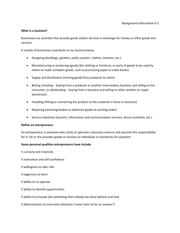#### **What is a business?**

Businesses are activities that provide goods and/or services in exchange for money or other goods and services.

A variety of businesses contribute to our local economy.

- Designing (buildings, gardens, paths, posters, clothes, interiors, etc.)
- Manufacturing or producing (goods like clothing or furniture, or parts of goods to be used by others to make complete goods, such as processing paper to make books)
- Supply and distribution (moving goods from producer to client)
- **S**elling (retailing buying from a producer or another intermediary business and selling to the consumer, or wholesaling – buying from a business and selling to other retailers or repair businesses)
- Installing (fitting or connecting the product to the customer's home or business)
- Repairing (restoring broken or defective goods to working order)
- Service industries (tourism, information and communication services, leisure activities, etc.)

#### **Define an entrepreneur:**

An entrepreneur is someone who starts or operates a business venture and assumes the responsibility for it. He or she provides goods or services to individuals or businesses for payment.

#### **Some personal qualities entrepreneurs have include**

**Z** curiosity and creativity motivation and self-confidence willingness to take risks **P** eagerness to learn ability to co-operate ability to identify opportunities ability to innovate (do something that nobody has done before) and lead determination to overcome obstacles ('never take no for an answer!')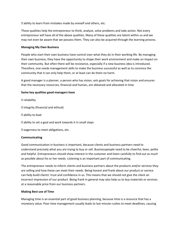**Z** ability to learn from mistakes made by oneself and others, etc.

These qualities help the entrepreneur to think, analyze, solve problems and take action. Not every entrepreneur will have all of the above qualities. Many of these qualities are latent within us and we may not even be aware that we possess them. They can also be acquired through the learning process.

# **Managing My Own Business**

People who start their own business have control over what they do in their working life. By managing their own business, they have the opportunity to shape their work environment and make an impact on their community. But often there will be resistance, especially if a new business idea is introduced. Therefore, one needs management skills to make the business successful as well as to convince the community that it can only help them, or at least can do them no harm.

A good manager is a planner, a person who has vision, sets goals for achieving that vision and ensures that the necessary resources, financial and human, are obtained and allocated in time

# **Some key qualities good managers have**

**P** reliability

**D** integrity (financial and ethical)

ability to lead

ability to set a goal and work towards it in small steps

**P** eagerness to meet obligations, etc.

#### **Communicating**

Good communication in business is important, because clients and business partners need to understand precisely what you are trying to buy or sell. Businesspeople need to be cheerful, keen, polite and helpful. Entrepreneurs should show interest in the customer and listen carefully to find out as much as possible about his or her needs. Listening is an important part of communicating.

The entrepreneur needs to inform clients and business partners about the products and/or services they are selling and how these can meet their needs. Being honest and frank about our product or service can help build clients' trust and confidence in us. This means that we should not give the client an incorrect impression of our product. Being frank in general may also help us to buy materials or services at a reasonable price from our business partners.

#### **Making Best use of Time**

Managing time is an essential part of good business planning, because time is a resource that has a monetary value. Poor time management usually leads to last minute rushes to meet deadlines, causing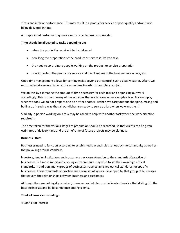stress and inferior performance. This may result in a product or service of poor quality and/or it not being delivered in time.

A disappointed customer may seek a more reliable business provider.

# **Time should be allocated to tasks depending on:**

- when the product or service is to be delivered
- how long the preparation of the product or service is likely to take
- the need to co-ordinate people working on the product or service preparation
- how important the product or service and the client are to the business as a whole, etc.

Good time management allows for contingencies beyond our control, such as bad weather. Often, we must undertake several tasks at the same time in order to complete our job.

We do this by estimating the amount of time necessary for each task and organizing our work accordingly. This is true of many of the activities that we take on in our everyday lives. For example, when we cook we do not prepare one dish after another. Rather, we carry out our chopping, mixing and boiling up in such a way that all our dishes are ready to serve up just when we want them!

Similarly, a person working on a task may be asked to help with another task when the work situation requires it.

The time taken for the various stages of production should be recorded, so that clients can be given estimates of delivery time and the timeframe of future projects may be planned.

#### **Business Ethics**

Businesses need to function according to established law and rules set out by the community as well as the prevailing ethical standards

Investors, lending institutions and customers pay close attention to the standards of practice of businesses. But most importantly, young entrepreneurs may wish to set their own high ethical standards. In addition, many groups of businesses have established ethical standards for specific businesses. These standards of practice are a core set of values, developed by that group of businesses that govern the relationships between business and customers.

Although they are not legally required, these values help to provide levels of service that distinguish the best businesses and build confidence among clients.

#### **Think of issues surrounding:**

Conflict of interest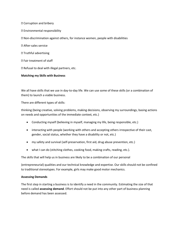- **Z** Corruption and bribery
- Environmental responsibility
- Non-discrimination against others, for instance women, people with disabilities
- After-sales service
- Truthful advertising
- Fair treatment of staff
- Refusal to deal with illegal partners, etc.

#### **Matching my Skills with Business**

We all have skills that we use in day-to-day life. We can use some of these skills (or a combination of them) to launch a viable business.

There are different types of skills:

thinking (being creative, solving problems, making decisions, observing my surroundings, basing actions on needs and opportunities of the immediate context, etc.)

- Conducting myself (believing in myself, managing my life, being responsible, etc.)
- interacting with people (working with others and accepting others irrespective of their cast, gender, social status, whether they have a disability or not, etc.)
- my safety and survival (self-preservation, first aid, drug abuse prevention, etc.)
- what I can do (stitching clothes, cooking food, making crafts, reading, etc.).

The skills that will help us in business are likely to be a combination of our personal

(entrepreneurial) qualities and our technical knowledge and expertise. Our skills should not be confined to traditional stereotypes. For example, girls may make good motor mechanics.

#### **Assessing Demands**

The first step in starting a business is to identify a need in the community. Estimating the size of that need is called **assessing demand**. Effort should not be put into any other part of business planning before demand has been assessed.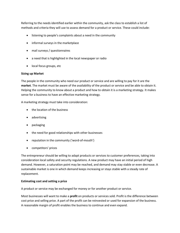Referring to the needs identified earlier within the community, ask the class to establish a list of methods and criteria they will use to assess demand for a product or service. These could include:

- listening to people's complaints about a need in the community
- informal surveys in the marketplace
- mail surveys / questionnaires
- a need that is highlighted in the local newspaper or radio
- local focus groups, etc

# **Sizing up Market**

The people in the community who need our product or service and are willing to pay for it are the **market**. The market must be aware of the availability of the product or service and be able to obtain it. Helping the community to know about a product and how to obtain it is a marketing strategy. It makes sense for a business to have an effective marketing strategy.

A marketing strategy must take into consideration:

- the location of the business
- advertising
- packaging
- the need for good relationships with other businesses
- reputation in the community ('word-of-mouth')
- competitors' prices

The entrepreneur should be willing to adapt products or services to customer preferences, taking into consideration local safety and security regulations. A new product may have an initial period of high demand. However, a saturation point may be reached, and demand may stay stable or even decrease. A sustainable market is one in which demand keeps increasing or stays stable with a steady rate of replacement.

# **Estimating cost and setting a price**

A product or service may be exchanged for money or for another product or service.

Most businesses will want to make a **profit** on products or services sold. Profit is the difference between cost price and selling price. A part of the profit can be reinvested or used for expansion of the business. A reasonable margin of profit enables the business to continue and even expand.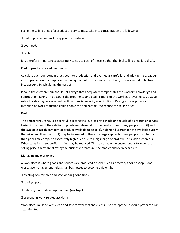Fixing the selling price of a product or service must take into consideration the following:

**Z** cost of production (including your own salary)

overheads

**P** profit.

It is therefore important to accurately calculate each of these, so that the final selling price is realistic.

#### **Cost of production and overheads**

Calculate each component that goes into production and overheads carefully, and add them up. Labour and **depreciation of equipment** (when equipment loses its value over time) may also need to be taken into account. In calculating the cost of

labour, the entrepreneur should set a wage that adequately compensates the workers' knowledge and contribution, taking into account the experience and qualifications of the worker, prevailing basic wage rates, holiday pay, government tariffs and social security contributions. Paying a lower price for materials and/or production could enable the entrepreneur to reduce the selling price.

#### **Profit**

The entrepreneur should be careful in setting the level of profit made on the sale of a product or service, taking into account the relationship between **demand** for the product (how many people want it) and the available **supply** (amount of product available to be sold). If demand is great for the available supply, the price (and thus the profit) may be increased. If there is a large supply, but few people want to buy, then prices may drop. An excessively high price due to a big margin of profit will dissuade customers. When sales increase, profit margins may be reduced. This can enable the entrepreneur to lower the selling price, therefore allowing the business to 'capture' the market and even expand it.

#### **Managing my workplace**

A workplace is where goods and services are produced or sold, such as a factory floor or shop. Good workplace management helps small businesses to become efficient by:

**Z** creating comfortable and safe working conditions

gaining space

reducing material damage and loss (wastage)

preventing work-related accidents.

Workplaces must be kept clean and safe for workers and clients. The entrepreneur should pay particular attention to: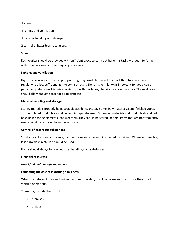#### ? space

**D** lighting and ventilation

**Z** material handling and storage

control of hazardous substances.

#### **Space**

Each worker should be provided with sufficient space to carry out her or his tasks without interfering with other workers or other ongoing processes.

#### **Lighting and ventilation**

High precision work requires appropriate lighting.Workplace windows must therefore be cleaned regularly to allow sufficient light to come through. Similarly, ventilation is important for good health, particularly where work is being carried out with machines, chemicals or raw materials. The work area should allow enough space for air to circulate.

#### **Material handling and storage**

Storing materials properly helps to avoid accidents and save time. Raw materials, semi-finished goods and completed products should be kept in separate areas. Some raw materials and products should not be exposed to the elements (bad weather). They should be stored indoors. Items that are not frequently used should be removed from the work area.

#### **Control of hazardous substances**

Substances like organic solvents, paint and glue must be kept in covered containers. Whenever possible, less hazardous materials should be used.

Hands should always be washed after handling such substances.

#### **Financial resources**

#### *How I find and manage my money*

#### **Estimating the cost of launching a business**

When the nature of the new business has been decided, it will be necessary to estimate the cost of starting operations.

These may include the cost of:

- premises
- utilities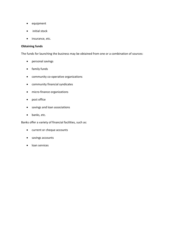- equipment
- initial stock
- insurance, etc.

#### **Obtaining funds**

The funds for launching the business may be obtained from one or a combination of sources:

- personal savings
- **•** family funds
- community co-operative organizations
- community financial syndicates
- micro-finance organizations
- post office
- savings and loan associations
- banks, etc.

Banks offer a variety of financial facilities, such as:

- current or cheque accounts
- savings accounts
- **•** loan services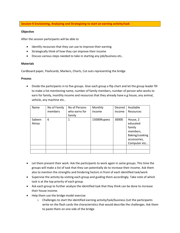**Session-9 Envisioning, Analyzing and Strategizing to start an earning activity/task**

#### **Objective**

After the session participants will be able to

- Identify recourses that they can use to improve their earning
- Strategically think of how they can improve their income
- Discuss various steps needed to take in starting any job/business etc..

#### **Materials**

Cardboard paper, Flashcards, Markers, Charts, Cut outs representing the bridge

#### **Process**

 Divide the participants in to five groups. Give each group a flip chart and let the group leader fill to make a list mentioning name, number of family members, number of person who works to earn for family, monthly income and resources that they already have e.g house, any animal, vehicle, any machine etc..

| Name            | No of Family<br>members | No of Persons<br>who earns for<br>family | Monthly<br>income | Desired<br>income | Available<br>Resources                                                                       |
|-----------------|-------------------------|------------------------------------------|-------------------|-------------------|----------------------------------------------------------------------------------------------|
| Sabeen<br>Almas | 6                       |                                          | 15000Rupees       | 30000             | House, 2<br>educated<br>family<br>members,<br>Baking/cooking<br>accessories,<br>Computer etc |
|                 |                         |                                          |                   |                   |                                                                                              |
|                 |                         |                                          |                   |                   |                                                                                              |

- Let them present their work. Ask the participants to work again in same groups. This time the groups will make a list of task that they can potentially do to increase their income. Ask them also to mention the strengths and hindering factors in front of each identified task/work
- Supervise the activity by visiting each group and guiding them accordingly. Take note of which task is at the top priority of each group.
- Ask each group to further analyze the identified task that they think can be done to increase their house income.
- Help them use the bridge model exercise
	- $\circ$  Challenges to start the identified earning activity/task/business (Let the participants write on the flash cards the characteristics that would describe the challenges. Ask them to paste them on one side of the bridge